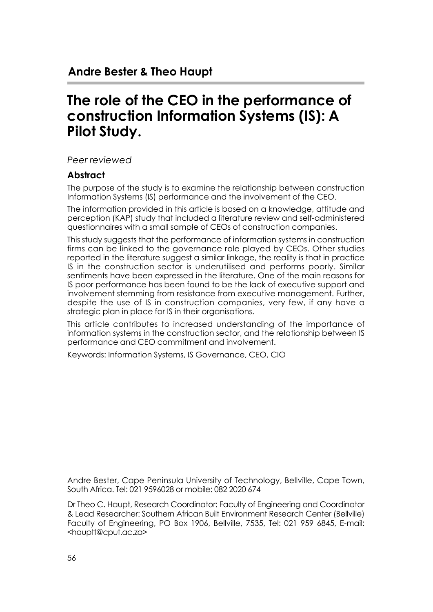# **The role of the CEO in the performance of construction Information Systems (IS): A Pilot Study.**

*Peer reviewed*

#### **Abstract**

The purpose of the study is to examine the relationship between construction Information Systems (IS) performance and the involvement of the CEO.

The information provided in this article is based on a knowledge, attitude and perception (KAP) study that included a literature review and self-administered questionnaires with a small sample of CEOs of construction companies.

This study suggests that the performance of information systems in construction firms can be linked to the governance role played by CEOs. Other studies reported in the literature suggest a similar linkage, the reality is that in practice IS in the construction sector is underutilised and performs poorly. Similar sentiments have been expressed in the literature. One of the main reasons for IS poor performance has been found to be the lack of executive support and involvement stemming from resistance from executive management. Further, despite the use of IS in construction companies, very few, if any have a strategic plan in place for IS in their organisations.

This article contributes to increased understanding of the importance of information systems in the construction sector, and the relationship between IS performance and CEO commitment and involvement.

Keywords: Information Systems, IS Governance, CEO, CIO

Andre Bester, Cape Peninsula University of Technology, Bellville, Cape Town, South Africa. Tel: 021 9596028 or mobile: 082 2020 674

Dr Theo C. Haupt, Research Coordinator: Faculty of Engineering and Coordinator & Lead Researcher: Southern African Built Environment Research Center (Bellville) Faculty of Engineering, PO Box 1906, Bellville, 7535, Tel: 021 959 6845, E-mail: <hauptt@cput.ac.za>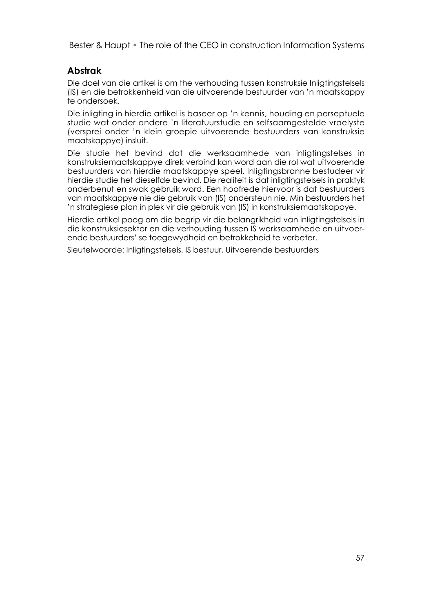#### **Abstrak**

Die doel van die artikel is om the verhouding tussen konstruksie Inligtingstelsels (IS) en die betrokkenheid van die uitvoerende bestuurder van 'n maatskappy te ondersoek.

Die inligting in hierdie artikel is baseer op 'n kennis, houding en perseptuele studie wat onder andere 'n literatuurstudie en selfsaamgestelde vraelyste (versprei onder 'n klein groepie uitvoerende bestuurders van konstruksie maatskappye) insluit.

Die studie het bevind dat die werksaamhede van inligtingstelses in konstruksiemaatskappye direk verbind kan word aan die rol wat uitvoerende bestuurders van hierdie maatskappye speel. Inligtingsbronne bestudeer vir hierdie studie het dieselfde bevind. Die realiteit is dat inligtingstelsels in praktyk onderbenut en swak gebruik word. Een hoofrede hiervoor is dat bestuurders van maatskappye nie die gebruik van (IS) ondersteun nie. Min bestuurders het 'n strategiese plan in plek vir die gebruik van (IS) in konstruksiemaatskappye.

Hierdie artikel poog om die begrip vir die belangrikheid van inligtingstelsels in die konstruksiesektor en die verhouding tussen IS werksaamhede en uitvoerende bestuurders' se toegewydheid en betrokkeheid te verbeter.

Sleutelwoorde: Inligtingstelsels, IS bestuur, Uitvoerende bestuurders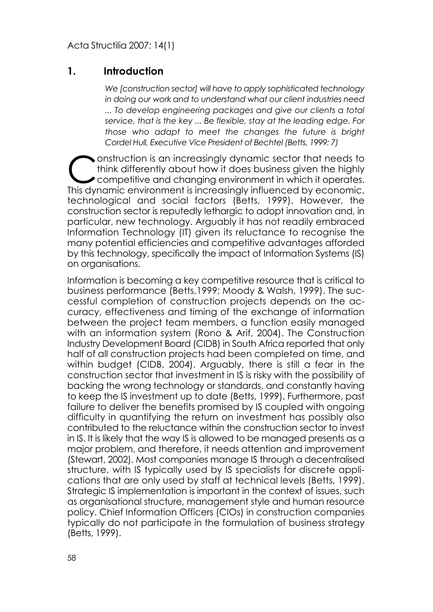#### **1. Introduction**

*We [construction sector] will have to apply sophisticated technology in doing our work and to understand what our client industries need ... To develop engineering packages and give our clients a total service, that is the key ... Be flexible, stay at the leading edge. For those who adapt to meet the changes the future is bright Cordel Hull, Executive Vice President of Bechtel (Betts, 1999: 7)*

Construction is an increasingly dynamic sector that needs to<br>think differently about how it does business given the highly<br>competitive and changing environment in which it operates. think differently about how it does business given the highly competitive and changing environment in which it operates. This dynamic environment is increasingly influenced by economic, technological and social factors (Betts, 1999). However, the construction sector is reputedly lethargic to adopt innovation and, in particular, new technology. Arguably it has not readily embraced Information Technology (IT) given its reluctance to recognise the many potential efficiencies and competitive advantages afforded by this technology, specifically the impact of Information Systems (IS) on organisations.

Information is becoming a key competitive resource that is critical to business performance (Betts,1999; Moody & Walsh, 1999). The successful completion of construction projects depends on the accuracy, effectiveness and timing of the exchange of information between the project team members, a function easily managed with an information system (Rono & Arif, 2004). The Construction Industry Development Board (CIDB) in South Africa reported that only half of all construction projects had been completed on time, and within budget (CIDB, 2004). Arguably, there is still a fear in the construction sector that investment in IS is risky with the possibility of backing the wrong technology or standards, and constantly having to keep the IS investment up to date (Betts, 1999). Furthermore, past failure to deliver the benefits promised by IS coupled with ongoing difficulty in quantifying the return on investment has possibly also contributed to the reluctance within the construction sector to invest in IS. It is likely that the way IS is allowed to be managed presents as a major problem, and therefore, it needs attention and improvement (Stewart, 2002). Most companies manage IS through a decentralised structure, with IS typically used by IS specialists for discrete applications that are only used by staff at technical levels (Betts, 1999). Strategic IS implementation is important in the context of issues, such as organisational structure, management style and human resource policy. Chief Information Officers (CIOs) in construction companies typically do not participate in the formulation of business strategy (Betts, 1999).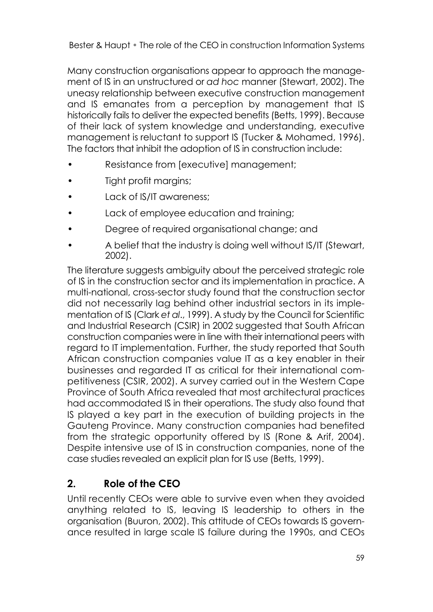Many construction organisations appear to approach the management of IS in an unstructured or *ad hoc* manner (Stewart, 2002). The uneasy relationship between executive construction management and IS emanates from a perception by management that IS historically fails to deliver the expected benefits (Betts, 1999). Because of their lack of system knowledge and understanding, executive management is reluctant to support IS (Tucker & Mohamed, 1996). The factors that inhibit the adoption of IS in construction include:

- Resistance from [executive] management;
- Tight profit margins;
- Lack of IS/IT awareness;
- Lack of employee education and training;
- Degree of required organisational change; and
- A belief that the industry is doing well without IS/IT (Stewart, 2002).

The literature suggests ambiguity about the perceived strategic role of IS in the construction sector and its implementation in practice. A multi-national, cross-sector study found that the construction sector did not necessarily lag behind other industrial sectors in its implementation of IS (Clark *et al*., 1999). A study by the Council for Scientific and Industrial Research (CSIR) in 2002 suggested that South African construction companies were in line with their international peers with regard to IT implementation. Further, the study reported that South African construction companies value IT as a key enabler in their businesses and regarded IT as critical for their international competitiveness (CSIR, 2002). A survey carried out in the Western Cape Province of South Africa revealed that most architectural practices had accommodated IS in their operations. The study also found that IS played a key part in the execution of building projects in the Gauteng Province. Many construction companies had benefited from the strategic opportunity offered by IS (Rone & Arif, 2004). Despite intensive use of IS in construction companies, none of the case studies revealed an explicit plan for IS use (Betts, 1999).

# **2. Role of the CEO**

Until recently CEOs were able to survive even when they avoided anything related to IS, leaving IS leadership to others in the organisation (Buuron, 2002). This attitude of CEOs towards IS governance resulted in large scale IS failure during the 1990s, and CEOs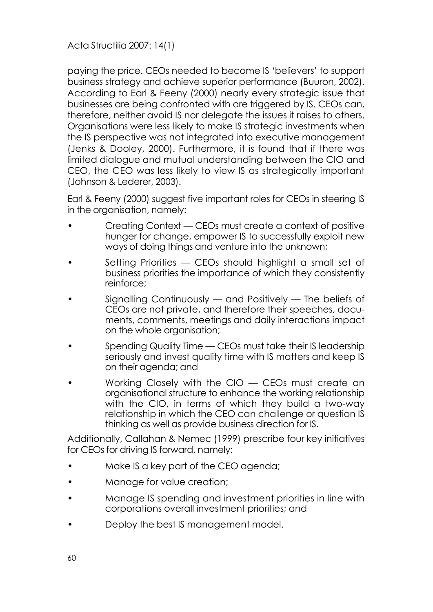paying the price. CEOs needed to become IS 'believers' to support business strategy and achieve superior performance (Buuron, 2002). According to Earl & Feeny (2000) nearly every strategic issue that businesses are being confronted with are triggered by IS. CEOs can, therefore, neither avoid IS nor delegate the issues it raises to others. Organisations were less likely to make IS strategic investments when the IS perspective was not integrated into executive management (Jenks & Dooley, 2000). Furthermore, it is found that if there was limited dialogue and mutual understanding between the CIO and CEO, the CEO was less likely to view IS as strategically important (Johnson & Lederer, 2003).

Earl & Feeny (2000) suggest five important roles for CEOs in steering IS in the organisation, namely:

- Creating Context CEOs must create a context of positive hunger for change, empower IS to successfully exploit new ways of doing things and venture into the unknown;
- Setting Priorities CEOs should highlight a small set of business priorities the importance of which they consistently reinforce;
- Signalling Continuously and Positively The beliefs of CEOs are not private, and therefore their speeches, documents, comments, meetings and daily interactions impact on the whole organisation;
- Spending Quality Time CEOs must take their IS leadership seriously and invest quality time with IS matters and keep IS on their agenda; and
- Working Closely with the CIO CEOs must create an organisational structure to enhance the working relationship with the CIO, in terms of which they build a two-way relationship in which the CEO can challenge or question IS thinking as well as provide business direction for IS.

Additionally, Callahan & Nemec (1999) prescribe four key initiatives for CEOs for driving IS forward, namely:

- Make IS a key part of the CEO agenda;
- Manage for value creation;
- Manage IS spending and investment priorities in line with corporations overall investment priorities; and
- Deploy the best IS management model.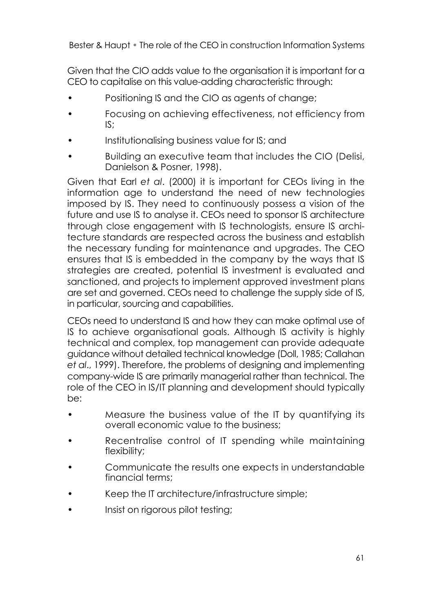Given that the CIO adds value to the organisation it is important for a CEO to capitalise on this value-adding characteristic through:

- Positioning IS and the CIO as agents of change;
- Focusing on achieving effectiveness, not efficiency from IS;
- Institutionalising business value for IS; and
- Building an executive team that includes the CIO (Delisi, Danielson & Posner, 1998).

Given that Earl *et al*. (2000) it is important for CEOs living in the information age to understand the need of new technologies imposed by IS. They need to continuously possess a vision of the future and use IS to analyse it. CEOs need to sponsor IS architecture through close engagement with IS technologists, ensure IS architecture standards are respected across the business and establish the necessary funding for maintenance and upgrades. The CEO ensures that IS is embedded in the company by the ways that IS strategies are created, potential IS investment is evaluated and sanctioned, and projects to implement approved investment plans are set and governed. CEOs need to challenge the supply side of IS, in particular, sourcing and capabilities.

CEOs need to understand IS and how they can make optimal use of IS to achieve organisational goals. Although IS activity is highly technical and complex, top management can provide adequate guidance without detailed technical knowledge (Doll, 1985; Callahan *et al*., 1999). Therefore, the problems of designing and implementing company-wide IS are primarily managerial rather than technical. The role of the CEO in IS/IT planning and development should typically be:

- Measure the business value of the IT by quantifying its overall economic value to the business;
- Recentralise control of IT spending while maintaining flexibility;
- Communicate the results one expects in understandable financial terms;
- Keep the IT architecture/infrastructure simple;
- Insist on rigorous pilot testing;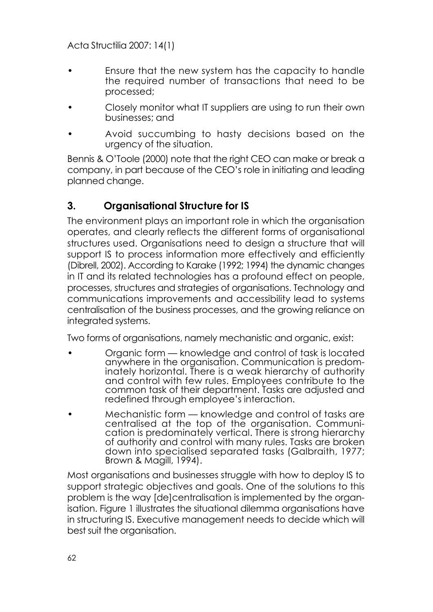- Ensure that the new system has the capacity to handle the required number of transactions that need to be processed;
- Closely monitor what IT suppliers are using to run their own businesses; and
- Avoid succumbing to hasty decisions based on the urgency of the situation.

Bennis & O'Toole (2000) note that the right CEO can make or break a company, in part because of the CEO's role in initiating and leading planned change.

# **3. Organisational Structure for IS**

The environment plays an important role in which the organisation operates, and clearly reflects the different forms of organisational structures used. Organisations need to design a structure that will support IS to process information more effectively and efficiently (Dibrell, 2002). According to Karake (1992; 1994) the dynamic changes in IT and its related technologies has a profound effect on people, processes, structures and strategies of organisations. Technology and communications improvements and accessibility lead to systems centralisation of the business processes, and the growing reliance on integrated systems.

Two forms of organisations, namely mechanistic and organic, exist:

- Organic form knowledge and control of task is located anywhere in the organisation. Communication is predominately horizontal. There is a weak hierarchy of authority and control with few rules. Employees contribute to the common task of their department. Tasks are adjusted and redefined through employee's interaction.
- Mechanistic form knowledge and control of tasks are centralised at the top of the organisation. Communication is predominately vertical. There is strong hierarchy of authority and control with many rules. Tasks are broken down into specialised separated tasks (Galbraith, 1977; Brown & Magill, 1994).

Most organisations and businesses struggle with how to deploy IS to support strategic objectives and goals. One of the solutions to this problem is the way [de]centralisation is implemented by the organisation. Figure 1 illustrates the situational dilemma organisations have in structuring IS. Executive management needs to decide which will best suit the organisation.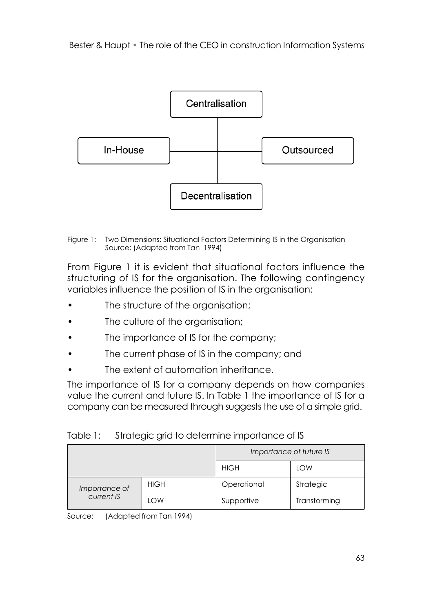

Figure 1: Two Dimensions: Situational Factors Determining IS in the Organisation Source: (Adapted from Tan 1994)

From Figure 1 it is evident that situational factors influence the structuring of IS for the organisation. The following contingency variables influence the position of IS in the organisation:

- The structure of the organisation;
- The culture of the organisation:
- The importance of IS for the company:
- The current phase of IS in the company; and
- The extent of automation inheritance.

The importance of IS for a company depends on how companies value the current and future IS. In Table 1 the importance of IS for a company can be measured through suggests the use of a simple grid.

| Table 1: |  | Strategic grid to determine importance of IS |  |
|----------|--|----------------------------------------------|--|

|               |             | Importance of future IS |              |  |  |  |  |
|---------------|-------------|-------------------------|--------------|--|--|--|--|
|               |             | <b>HIGH</b>             | LOW          |  |  |  |  |
| Importance of | <b>HIGH</b> | Operational             | Strategic    |  |  |  |  |
| current IS    | LOW         | Supportive              | Transforming |  |  |  |  |

Source: (Adapted from Tan 1994)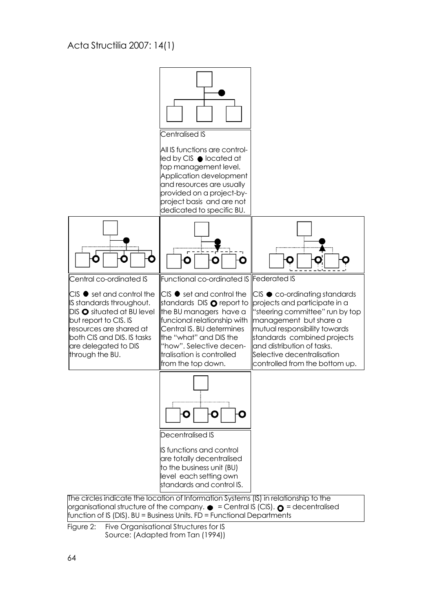

 $f$  function of IS (DIS). BU = Business Units. FD = Functional Departments

Figure 2: Five Organisational Structures for IS Source: (Adapted from Tan (1994))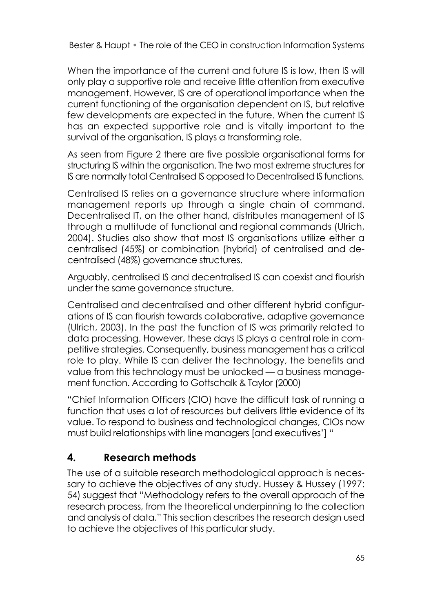When the importance of the current and future IS is low, then IS will only play a supportive role and receive little attention from executive management. However, IS are of operational importance when the current functioning of the organisation dependent on IS, but relative few developments are expected in the future. When the current IS has an expected supportive role and is vitally important to the survival of the organisation, IS plays a transforming role.

As seen from Figure 2 there are five possible organisational forms for structuring IS within the organisation. The two most extreme structures for IS are normally total Centralised IS opposed to Decentralised IS functions.

Centralised IS relies on a governance structure where information management reports up through a single chain of command. Decentralised IT, on the other hand, distributes management of IS through a multitude of functional and regional commands (Ulrich, 2004). Studies also show that most IS organisations utilize either a centralised (45%) or combination (hybrid) of centralised and decentralised (48%) governance structures.

Arguably, centralised IS and decentralised IS can coexist and flourish under the same governance structure.

Centralised and decentralised and other different hybrid configurations of IS can flourish towards collaborative, adaptive governance (Ulrich, 2003). In the past the function of IS was primarily related to data processing. However, these days IS plays a central role in competitive strategies. Consequently, business management has a critical role to play. While IS can deliver the technology, the benefits and value from this technology must be unlocked — a business management function. According to Gottschalk & Taylor (2000)

"Chief Information Officers (CIO) have the difficult task of running a function that uses a lot of resources but delivers little evidence of its value. To respond to business and technological changes, CIOs now must build relationships with line managers [and executives'] "

# **4. Research methods**

The use of a suitable research methodological approach is necessary to achieve the objectives of any study. Hussey & Hussey (1997: 54) suggest that "Methodology refers to the overall approach of the research process, from the theoretical underpinning to the collection and analysis of data." This section describes the research design used to achieve the objectives of this particular study.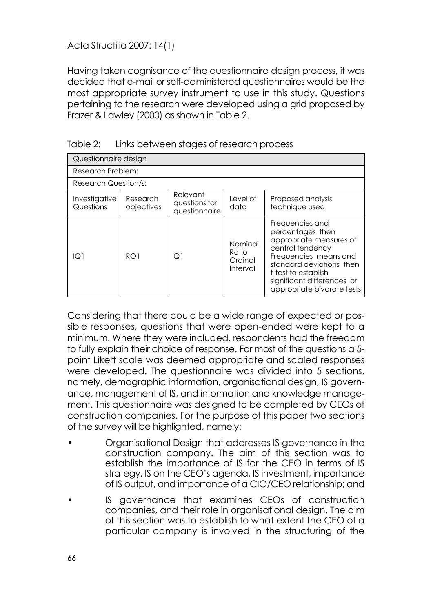Having taken cognisance of the questionnaire design process, it was decided that e-mail or self-administered questionnaires would be the most appropriate survey instrument to use in this study. Questions pertaining to the research were developed using a grid proposed by Frazer & Lawley (2000) as shown in Table 2.

| Questionnaire design        |                                     |    |                                         |                                                                                                                                                                                                                             |  |  |  |  |  |  |
|-----------------------------|-------------------------------------|----|-----------------------------------------|-----------------------------------------------------------------------------------------------------------------------------------------------------------------------------------------------------------------------------|--|--|--|--|--|--|
| Research Problem:           |                                     |    |                                         |                                                                                                                                                                                                                             |  |  |  |  |  |  |
| <b>Research Question/s:</b> |                                     |    |                                         |                                                                                                                                                                                                                             |  |  |  |  |  |  |
| Investigative<br>Questions  | Proposed analysis<br>technique used |    |                                         |                                                                                                                                                                                                                             |  |  |  |  |  |  |
| $\overline{O}1$             | RO <sub>1</sub>                     | Q1 | Nominal<br>Ratio<br>Ordinal<br>Interval | Frequencies and<br>percentages then<br>appropriate measures of<br>central tendency<br>Frequencies means and<br>standard deviations then<br>t-test to establish<br>significant differences or<br>appropriate bivarate tests. |  |  |  |  |  |  |

Table 2: Links between stages of research process

Considering that there could be a wide range of expected or possible responses, questions that were open-ended were kept to a minimum. Where they were included, respondents had the freedom to fully explain their choice of response. For most of the questions a 5 point Likert scale was deemed appropriate and scaled responses were developed. The questionnaire was divided into 5 sections, namely, demographic information, organisational design, IS governance, management of IS, and information and knowledge management. This questionnaire was designed to be completed by CEOs of construction companies. For the purpose of this paper two sections of the survey will be highlighted, namely:

- Organisational Design that addresses IS governance in the construction company. The aim of this section was to establish the importance of IS for the CEO in terms of IS strategy, IS on the CEO's agenda, IS investment, importance of IS output, and importance of a CIO/CEO relationship; and
- IS governance that examines CEOs of construction companies, and their role in organisational design. The aim of this section was to establish to what extent the CEO of a particular company is involved in the structuring of the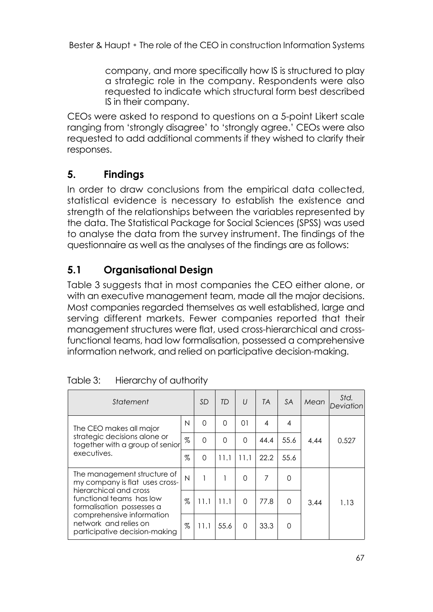company, and more specifically how IS is structured to play a strategic role in the company. Respondents were also requested to indicate which structural form best described IS in their company.

CEOs were asked to respond to questions on a 5-point Likert scale ranging from 'strongly disagree' to 'strongly agree.' CEOs were also requested to add additional comments if they wished to clarify their responses.

# **5. Findings**

In order to draw conclusions from the empirical data collected, statistical evidence is necessary to establish the existence and strength of the relationships between the variables represented by the data. The Statistical Package for Social Sciences (SPSS) was used to analyse the data from the survey instrument. The findings of the questionnaire as well as the analyses of the findings are as follows:

# **5.1 Organisational Design**

Table 3 suggests that in most companies the CEO either alone, or with an executive management team, made all the major decisions. Most companies regarded themselves as well established, large and serving different markets. Fewer companies reported that their management structures were flat, used cross-hierarchical and crossfunctional teams, had low formalisation, possessed a comprehensive information network, and relied on participative decision-making.

| Statement                                                                                                                                        |      | <b>SD</b> | TD       | $\iota$  | <b>TA</b>      | <b>SA</b>      | Mean | Std.<br>Deviation |
|--------------------------------------------------------------------------------------------------------------------------------------------------|------|-----------|----------|----------|----------------|----------------|------|-------------------|
| The CEO makes all major<br>strategic decisions alone or<br>together with a group of senior<br>executives.                                        | N    | $\Omega$  | $\Omega$ | 01       | $\overline{4}$ | $\overline{4}$ |      | 0.527             |
|                                                                                                                                                  | %    | $\Omega$  | $\Omega$ | $\Omega$ | 44.4           | 55.6           | 4.44 |                   |
|                                                                                                                                                  | $\%$ | $\Omega$  | 11.1     | 11.1     | 22.2           | 55.6           |      |                   |
| The management structure of<br>my company is flat uses cross-<br>hierarchical and cross<br>functional teams has low<br>formalisation possesses a | N    |           |          | 0        | 7              | 0              |      |                   |
|                                                                                                                                                  | $\%$ | 11.1      | 11.1     | $\Omega$ | 77.8           | $\Omega$       | 3.44 | 1.13              |
| comprehensive information<br>network and relies on<br>participative decision-making                                                              |      | 11.1      | 55.6     | $\Omega$ | 33.3           | $\Omega$       |      |                   |

| Table 3: | Hierarchy of authority |
|----------|------------------------|
|----------|------------------------|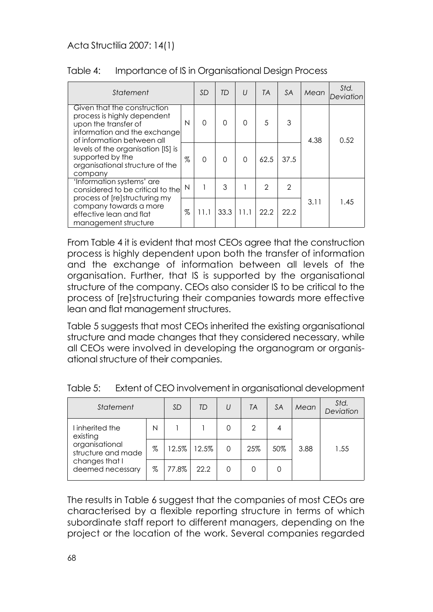| Statement                                                                                                                                                                                                                                                |      | <b>SD</b> | TD       | $\cup$   | <b>TA</b>     | <b>SA</b> | Mean | Std.<br>Deviation |
|----------------------------------------------------------------------------------------------------------------------------------------------------------------------------------------------------------------------------------------------------------|------|-----------|----------|----------|---------------|-----------|------|-------------------|
| Given that the construction<br>process is highly dependent<br>upon the transfer of<br>information and the exchange<br>of information between all<br>levels of the organisation [IS] is<br>supported by the<br>organisational structure of the<br>company | N    | $\Omega$  | O        | $\Omega$ | 5             | 3         | 4.38 | 0.52              |
|                                                                                                                                                                                                                                                          | $\%$ | $\Omega$  | $\Omega$ | $\Omega$ | 62.5          | 37.5      |      |                   |
| 'Information systems' are<br>considered to be critical to the<br>process of [re]structuring my                                                                                                                                                           | N    |           | 3        |          | $\mathcal{P}$ | 2         | 3.11 | 1.45              |
| company towards a more<br>effective lean and flat<br>management structure                                                                                                                                                                                | %    | 11.1      | 33.3     | 11.1     | 22.2          | 22.2      |      |                   |

#### Table 4: Importance of IS in Organisational Design Process

From Table 4 it is evident that most CEOs agree that the construction process is highly dependent upon both the transfer of information and the exchange of information between all levels of the organisation. Further, that IS is supported by the organisational structure of the company. CEOs also consider IS to be critical to the process of [re]structuring their companies towards more effective lean and flat management structures.

Table 5 suggests that most CEOs inherited the existing organisational structure and made changes that they considered necessary, while all CEOs were involved in developing the organogram or organisational structure of their companies.

| Statement                                                           |      | SD    | <b>TD</b> | U        | <b>TA</b>     | <b>SA</b> | Mean | Std.<br>Deviation |
|---------------------------------------------------------------------|------|-------|-----------|----------|---------------|-----------|------|-------------------|
| I inherited the<br>existing<br>organisational<br>structure and made | N    |       |           | 0        | $\mathcal{P}$ | 4         |      |                   |
|                                                                     | $\%$ | 12.5% | 12.5%     | $\Omega$ | 25%           | 50%       | 3.88 | 1.55              |
| changes that I<br>deemed necessary                                  | $\%$ | 77.8% | 22.2      | 0        |               |           |      |                   |

Table 5: Extent of CEO involvement in organisational development

The results in Table 6 suggest that the companies of most CEOs are characterised by a flexible reporting structure in terms of which subordinate staff report to different managers, depending on the project or the location of the work. Several companies regarded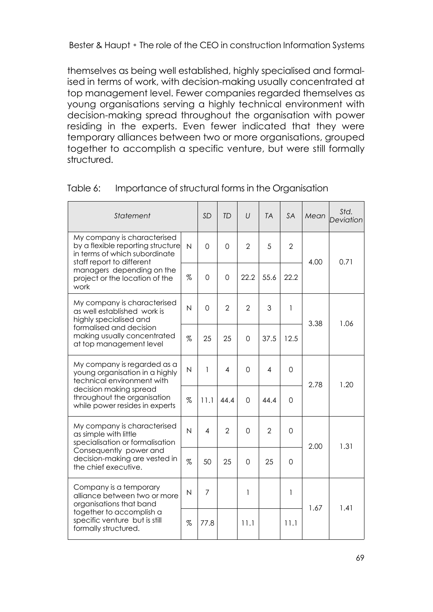themselves as being well established, highly specialised and formalised in terms of work, with decision-making usually concentrated at top management level. Fewer companies regarded themselves as young organisations serving a highly technical environment with decision-making spread throughout the organisation with power residing in the experts. Even fewer indicated that they were temporary alliances between two or more organisations, grouped together to accomplish a specific venture, but were still formally structured.

| Statement                                                                                                                                                                                             |                | <b>SD</b>      | <b>TD</b>      | $\iota$        | <b>TA</b>      | <b>SA</b>      | Mean | Std.<br>Deviation |
|-------------------------------------------------------------------------------------------------------------------------------------------------------------------------------------------------------|----------------|----------------|----------------|----------------|----------------|----------------|------|-------------------|
| My company is characterised<br>by a flexible reporting structure<br>in terms of which subordinate<br>staff report to different<br>managers depending on the<br>project or the location of the<br>work | $\overline{N}$ | $\Omega$       | $\Omega$       | $\overline{2}$ | 5              | $\overline{2}$ | 4.00 | 0.71              |
|                                                                                                                                                                                                       | $\%$           | $\Omega$       | $\Omega$       | 22.2           | 55.6           | 22.2           |      |                   |
| My company is characterised<br>as well established work is<br>highly specialised and<br>formalised and decision<br>making usually concentrated<br>at top management level                             | N              | $\Omega$       | $\overline{2}$ | $\overline{2}$ | 3              | 1              | 3.38 | 1.06              |
|                                                                                                                                                                                                       | $\%$           | 25             | 25             | $\Omega$       | 37.5           | 12.5           |      |                   |
| My company is regarded as a<br>young organisation in a highly<br>technical environment with                                                                                                           | N              | 1              | 4              | $\Omega$       | 4              | $\Omega$       | 2.78 | 1.20              |
| decision making spread<br>throughout the organisation<br>while power resides in experts                                                                                                               | $\%$           | 11.1           | 44.4           | $\Omega$       | 44.4           | $\Omega$       |      |                   |
| My company is characterised<br>as simple with little<br>specialisation or formalisation                                                                                                               | N              | 4              | $\overline{2}$ | $\Omega$       | $\overline{2}$ | $\Omega$       | 2.00 | 1.31              |
| Consequently power and<br>decision-making are vested in<br>the chief executive.                                                                                                                       | %              | 50             | 25             | $\Omega$       | 25             | $\Omega$       |      |                   |
| Company is a temporary<br>alliance between two or more<br>organisations that band<br>together to accomplish a<br>specific venture but is still<br>formally structured.                                | N              | $\overline{7}$ |                | $\mathbf{1}$   |                | 1              | 1.67 |                   |
|                                                                                                                                                                                                       | $\%$           | 77.8           |                | 11.1           |                | 11.1           |      | 1.41              |

#### Table 6: Importance of structural forms in the Organisation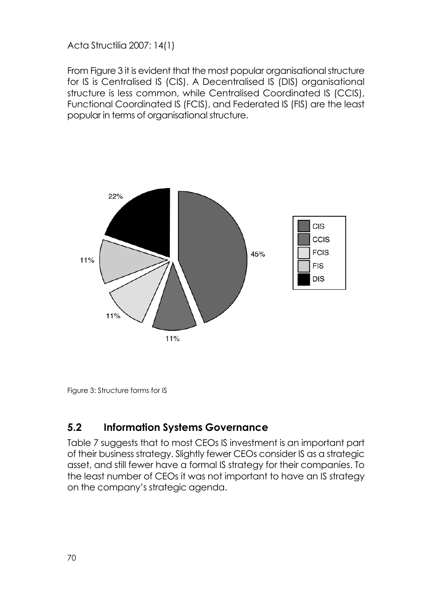From Figure 3 it is evident that the most popular organisational structure for IS is Centralised IS (CIS). A Decentralised IS (DIS) organisational structure is less common, while Centralised Coordinated IS (CCIS), Functional Coordinated IS (FCIS), and Federated IS (FIS) are the least popular in terms of organisational structure.



Figure 3: Structure forms for IS

### **5.2 Information Systems Governance**

Table 7 suggests that to most CEOs IS investment is an important part of their business strategy. Slightly fewer CEOs consider IS as a strategic asset, and still fewer have a formal IS strategy for their companies. To the least number of CEOs it was not important to have an IS strategy on the company's strategic agenda.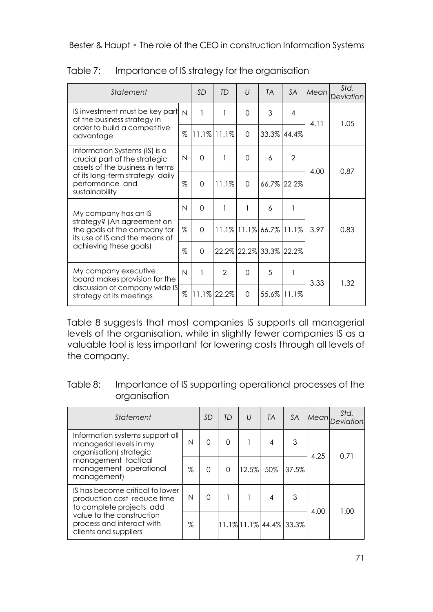| Statement                                                                                                                                                                 |              | <b>SD</b> | TD                | $\iota$  | <b>TA</b>                        | <b>SA</b>      | Mean | Std.<br>Deviation |
|---------------------------------------------------------------------------------------------------------------------------------------------------------------------------|--------------|-----------|-------------------|----------|----------------------------------|----------------|------|-------------------|
| IS investment must be key part<br>of the business strategy in<br>order to build a competitive<br>advantage                                                                | $\mathsf{N}$ | 1         | 1                 | 0        | 3                                | $\overline{4}$ | 4.11 | 1.05              |
|                                                                                                                                                                           | %            |           | $11.1\%$ $11.1\%$ | $\Omega$ |                                  | 33.3% 44.4%    |      |                   |
| Information Systems (IS) is a<br>crucial part of the strategic<br>assets of the business in terms<br>of its long-term strategy daily<br>performance and<br>sustainability | N            | $\Omega$  | 1                 | $\Omega$ | 6                                | $\mathcal{P}$  | 4.00 | 0.87              |
|                                                                                                                                                                           | %            | $\Omega$  | 11.1%             | $\Omega$ |                                  | 66.7% 22 2%    |      |                   |
| My company has an IS                                                                                                                                                      | $\mathsf{N}$ | $\Omega$  | 1                 | 1        | 6                                | 1              |      |                   |
| strategy? (An agreement on<br>the goals of the company for<br>its use of IS and the means of                                                                              | $\%$         | $\Omega$  |                   |          | $11.1\%$ $11.1\%$ 66.7% $11.1\%$ |                | 3.97 | 0.83              |
| achieving these goals)                                                                                                                                                    | $\%$         | $\Omega$  |                   |          | 22.2% 22.2% 33.3% 22.2%          |                |      |                   |
| My company executive<br>board makes provision for the<br>discussion of company wide IS<br>strategy at its meetings                                                        | $\mathsf{N}$ |           | $\mathfrak{p}$    | $\Omega$ | 5                                | 1              |      | 1.32              |
|                                                                                                                                                                           | %            |           | 11.1% 22.2%       | $\Omega$ |                                  | 55.6% 11.1%    | 3.33 |                   |

Table 7: Importance of IS strategy for the organisation

Table 8 suggests that most companies IS supports all managerial levels of the organisation, while in slightly fewer companies IS as a valuable tool is less important for lowering costs through all levels of the company.

| Table 8: | Importance of IS supporting operational processes of the |
|----------|----------------------------------------------------------|
|          | organisation                                             |

| Statement                                                                                                                                             |      | SD       | TD       | $\cup$ | <b>TA</b>                  | <b>SA</b> | <b>Mean</b> | Std. |
|-------------------------------------------------------------------------------------------------------------------------------------------------------|------|----------|----------|--------|----------------------------|-----------|-------------|------|
| Information systems support all<br>managerial levels in my<br>organisation (strategic<br>management tactical<br>management operational<br>management) | N    | $\Omega$ | $\Omega$ |        | 4                          | 3         | 4.25        | 0.71 |
|                                                                                                                                                       | $\%$ | $\Omega$ | $\Omega$ | 12.5%  | 50%                        | 137.5%    |             |      |
| IS has become critical to lower<br>production cost reduce time<br>to complete projects add                                                            | N    | $\Omega$ |          |        | 4                          | 3         | 4.00        | 1.00 |
| value to the construction<br>process and interact with<br>clients and suppliers                                                                       |      |          |          |        | 11.1% 11.1%  44.4%   33.3% |           |             |      |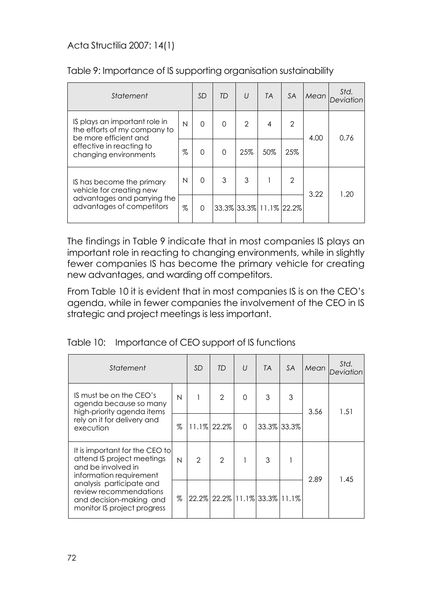| Statement                                                                                                                                   |      | <b>SD</b> | <b>TD</b> | $\iota$        | <b>TA</b>               | <b>SA</b>      | Mean | Std. |
|---------------------------------------------------------------------------------------------------------------------------------------------|------|-----------|-----------|----------------|-------------------------|----------------|------|------|
| IS plays an important role in<br>the efforts of my company to<br>be more efficient and<br>effective in reacting to<br>changing environments | N    | $\Omega$  | $\Omega$  | $\mathfrak{p}$ | 4                       | $\overline{2}$ | 4.00 | 0.76 |
|                                                                                                                                             | $\%$ | $\Omega$  | $\Omega$  | 25%            | 50%                     | 25%            |      |      |
| IS has become the primary<br>vehicle for creating new                                                                                       | N    | 0         | 3         | 3              |                         | $\overline{2}$ | 3.22 | 1.20 |
| advantages and parrying the<br>advantages of competitors                                                                                    |      | $\Omega$  |           |                | 33.3% 33.3% 11.1% 22.2% |                |      |      |

#### Table 9: Importance of IS supporting organisation sustainability

The findings in Table 9 indicate that in most companies IS plays an important role in reacting to changing environments, while in slightly fewer companies IS has become the primary vehicle for creating new advantages, and warding off competitors.

From Table 10 it is evident that in most companies IS is on the CEO's agenda, while in fewer companies the involvement of the CEO in IS strategic and project meetings is less important.

|  |  | Table 10: Importance of CEO support of IS functions |
|--|--|-----------------------------------------------------|
|--|--|-----------------------------------------------------|

| Statement                                                                                                                                                                                                                     |      | <b>SD</b>     | <b>TD</b>                     | $\cup$      | <b>TA</b>   | <b>SA</b> | Mean | Std.<br>Deviation |
|-------------------------------------------------------------------------------------------------------------------------------------------------------------------------------------------------------------------------------|------|---------------|-------------------------------|-------------|-------------|-----------|------|-------------------|
| IS must be on the CEO's<br>agenda because so many<br>high-priority agenda items<br>rely on it for delivery and<br>execution                                                                                                   | N    |               | $\mathfrak{p}$                | $\mathbf 0$ | 3           | 3         | 3.56 | 1.51              |
|                                                                                                                                                                                                                               | $\%$ |               | 11.1% 22.2%                   | $\Omega$    | 33.3% 33.3% |           |      |                   |
| It is important for the CEO to<br>attend IS project meetings<br>and be involved in<br>information requirement<br>analysis participate and<br>review recommendations<br>and decision-making and<br>monitor IS project progress | N    | $\mathcal{P}$ | $\mathfrak{D}$                |             | 3           |           | 2.89 | 1.45              |
|                                                                                                                                                                                                                               | $\%$ |               | 22.2% 22.2% 11.1% 33.3% 11.1% |             |             |           |      |                   |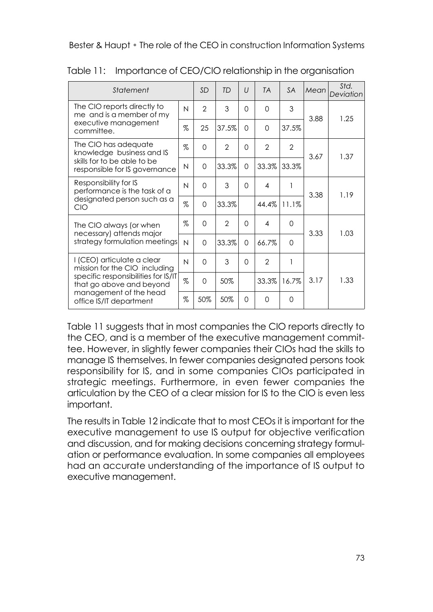| Statement                                                                                                                                                                           |      | <b>SD</b>      | TD             | $\iota$  | <b>TA</b>               | <b>SA</b>      | Mean | Std.<br>Deviation |
|-------------------------------------------------------------------------------------------------------------------------------------------------------------------------------------|------|----------------|----------------|----------|-------------------------|----------------|------|-------------------|
| The CIO reports directly to<br>me and is a member of my                                                                                                                             |      | $\mathfrak{D}$ | 3              | $\Omega$ | $\Omega$                | 3              | 3.88 | 1.25              |
| executive management<br>committee.                                                                                                                                                  | $\%$ | 25             | 37.5%          | $\Omega$ | $\Omega$                | 37.5%          |      |                   |
| The CIO has adequate<br>knowledge business and IS<br>skills for to be able to be<br>responsible for IS governance                                                                   | $\%$ | $\Omega$       | $\overline{2}$ | $\Omega$ | $\overline{2}$          | $\overline{2}$ | 3.67 | 1.37              |
|                                                                                                                                                                                     | N    | $\Omega$       | 33.3%          | $\Omega$ | 33.3%                   | 33.3%          |      |                   |
| Responsibility for IS<br>performance is the task of a<br>designated person such as a<br>CIO                                                                                         | N    | $\Omega$       | 3              | $\Omega$ | $\overline{\mathbf{A}}$ | 1              | 3.38 | 1.19              |
|                                                                                                                                                                                     | $\%$ | $\Omega$       | 33.3%          |          | 44.4%                   | 11.1%          |      |                   |
| The CIO always (or when<br>necessary) attends major<br>strategy formulation meetings                                                                                                | $\%$ | $\Omega$       | $\overline{2}$ | $\Omega$ | 4                       | $\Omega$       | 3.33 | 1.03              |
|                                                                                                                                                                                     | N    | $\Omega$       | 33.3%          | $\Omega$ | 66.7%                   | $\Omega$       |      |                   |
| I (CEO) articulate a clear<br>mission for the CIO including<br>specific responsibilities for IS/IT<br>that go above and beyond<br>management of the head<br>office IS/IT department | N    | $\Omega$       | 3              | $\Omega$ | $\overline{2}$          | 1              | 3.17 | 1.33              |
|                                                                                                                                                                                     | $\%$ | $\Omega$       | 50%            |          | 33.3%                   | 16.7%          |      |                   |
|                                                                                                                                                                                     | $\%$ | 50%            | 50%            | $\Omega$ | $\Omega$                | $\Omega$       |      |                   |

Table 11: Importance of CEO/CIO relationship in the organisation

Table 11 suggests that in most companies the CIO reports directly to the CEO, and is a member of the executive management committee. However, in slightly fewer companies their CIOs had the skills to manage IS themselves. In fewer companies designated persons took responsibility for IS, and in some companies CIOs participated in strategic meetings. Furthermore, in even fewer companies the articulation by the CEO of a clear mission for IS to the CIO is even less important.

The results in Table 12 indicate that to most CEOs it is important for the executive management to use IS output for objective verification and discussion, and for making decisions concerning strategy formulation or performance evaluation. In some companies all employees had an accurate understanding of the importance of IS output to executive management.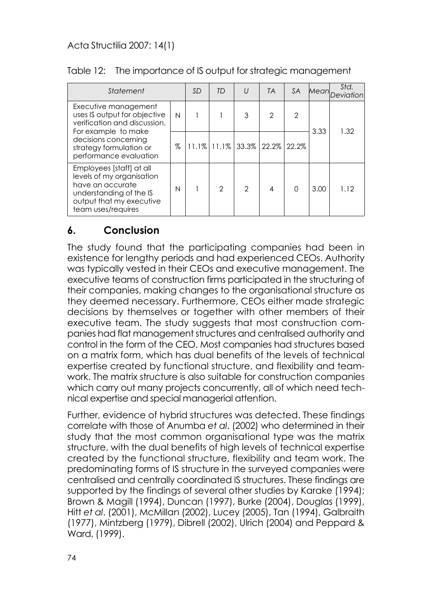| Statement                                                                                                                                                                                |      | SD | TD            | $\iota$                       | <b>TA</b>     | <b>SA</b>      |      | Std.<br>Mean Deviation |
|------------------------------------------------------------------------------------------------------------------------------------------------------------------------------------------|------|----|---------------|-------------------------------|---------------|----------------|------|------------------------|
| Executive management<br>uses IS output for objective<br>verification and discussion.<br>For example to make<br>decisions concerning<br>strategy formulation or<br>performance evaluation | N    |    |               | 3                             | $\mathcal{P}$ | $\overline{2}$ | 3.33 | 1.32                   |
|                                                                                                                                                                                          | $\%$ |    |               | 11.1% 11.1% 33.3% 22.2% 22.2% |               |                |      |                        |
| Employees [staff] at all<br>levels of my organisation<br>have an accurate<br>understanding of the IS<br>output that my executive<br>team uses/requires                                   | N    |    | $\mathcal{P}$ | $\mathcal{P}$                 | 4             | $\cap$         | 3.00 | 1.12                   |

#### Table 12: The importance of IS output for strategic management

### **6. Conclusion**

The study found that the participating companies had been in existence for lengthy periods and had experienced CEOs. Authority was typically vested in their CEOs and executive management. The executive teams of construction firms participated in the structuring of their companies, making changes to the organisational structure as they deemed necessary. Furthermore, CEOs either made strategic decisions by themselves or together with other members of their executive team. The study suggests that most construction companies had flat management structures and centralised authority and control in the form of the CEO. Most companies had structures based on a matrix form, which has dual benefits of the levels of technical expertise created by functional structure, and flexibility and teamwork. The matrix structure is also suitable for construction companies which carry out many projects concurrently, all of which need technical expertise and special managerial attention.

Further, evidence of hybrid structures was detected. These findings correlate with those of Anumba *et al*. (2002) who determined in their study that the most common organisational type was the matrix structure, with the dual benefits of high levels of technical expertise created by the functional structure, flexibility and team work. The predominating forms of IS structure in the surveyed companies were centralised and centrally coordinated IS structures. These findings are supported by the findings of several other studies by Karake (1994); Brown & Magill (1994), Duncan (1997), Burke (2004), Douglas (1999), Hitt *et al*. (2001), McMillan (2002), Lucey (2005), Tan (1994), Galbraith (1977), Mintzberg (1979), Dibrell (2002), Ulrich (2004) and Peppard & Ward, (1999).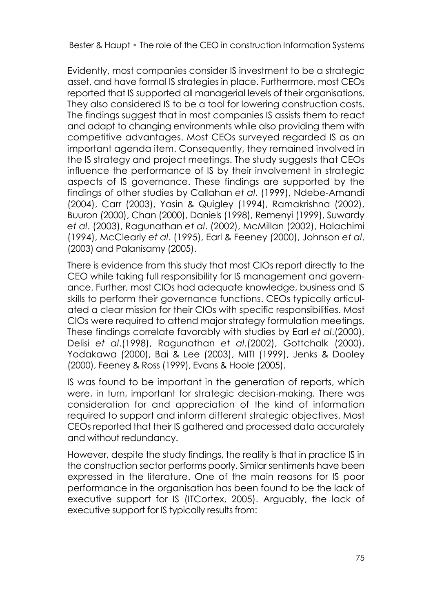Evidently, most companies consider IS investment to be a strategic asset, and have formal IS strategies in place. Furthermore, most CEOs reported that IS supported all managerial levels of their organisations. They also considered IS to be a tool for lowering construction costs. The findings suggest that in most companies IS assists them to react and adapt to changing environments while also providing them with competitive advantages. Most CEOs surveyed regarded IS as an important agenda item. Consequently, they remained involved in the IS strategy and project meetings. The study suggests that CEOs influence the performance of IS by their involvement in strategic aspects of IS governance. These findings are supported by the findings of other studies by Callahan *et al*. (1999), Ndebe-Amandi (2004), Carr (2003), Yasin & Quigley (1994), Ramakrishna (2002), Buuron (2000), Chan (2000), Daniels (1998), Remenyi (1999), Suwardy *et al*. (2003), Ragunathan *et al*. (2002), McMillan (2002), Halachimi (1994), McClearly *et al*. (1995), Earl & Feeney (2000), Johnson *et al*. (2003) and Palanisamy (2005).

There is evidence from this study that most CIOs report directly to the CEO while taking full responsibility for IS management and governance. Further, most CIOs had adequate knowledge, business and IS skills to perform their governance functions. CEOs typically articulated a clear mission for their CIOs with specific responsibilities. Most CIOs were required to attend major strategy formulation meetings. These findings correlate favorably with studies by Earl *et al*.(2000), Delisi *et al*.(1998), Ragunathan *et al*.(2002), Gottchalk (2000), Yodakawa (2000), Bai & Lee (2003), MITI (1999), Jenks & Dooley (2000), Feeney & Ross (1999), Evans & Hoole (2005).

IS was found to be important in the generation of reports, which were, in turn, important for strategic decision-making. There was consideration for and appreciation of the kind of information required to support and inform different strategic objectives. Most CEOs reported that their IS gathered and processed data accurately and without redundancy.

However, despite the study findings, the reality is that in practice IS in the construction sector performs poorly. Similar sentiments have been expressed in the literature. One of the main reasons for IS poor performance in the organisation has been found to be the lack of executive support for IS (ITCortex, 2005). Arguably, the lack of executive support for IS typically results from: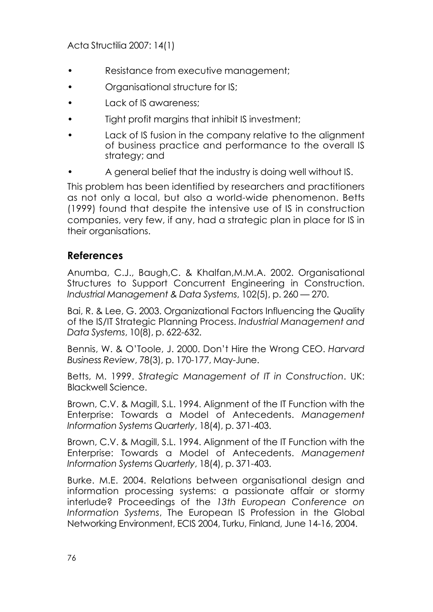- Resistance from executive management;
- Organisational structure for IS;
- Lack of IS awareness;
- Tight profit margins that inhibit IS investment;
- Lack of IS fusion in the company relative to the alianment of business practice and performance to the overall IS strategy; and
- A general belief that the industry is doing well without IS.

This problem has been identified by researchers and practitioners as not only a local, but also a world-wide phenomenon. Betts (1999) found that despite the intensive use of IS in construction companies, very few, if any, had a strategic plan in place for IS in their organisations.

#### **References**

Anumba, C.J., Baugh,C. & Khalfan,M.M.A. 2002. Organisational Structures to Support Concurrent Engineering in Construction. *Industrial Management & Data Systems*, 102(5), p. 260 — 270.

Bai, R. & Lee, G. 2003. Organizational Factors Influencing the Quality of the IS/IT Strategic Planning Process. *Industrial Management and Data Systems*, 10(8), p. 622-632.

Bennis, W. & O'Toole, J. 2000. Don't Hire the Wrong CEO. *Harvard Business Review*, 78(3), p. 170-177, May-June.

Betts, M. 1999. *Strategic Management of IT in Construction*. UK: Blackwell Science.

Brown, C.V. & Magill, S.L. 1994. Alignment of the IT Function with the Enterprise: Towards a Model of Antecedents. *Management Information Systems Quarterly*, 18(4), p. 371-403.

Brown, C.V. & Magill, S.L. 1994. Alignment of the IT Function with the Enterprise: Towards a Model of Antecedents. *Management Information Systems Quarterly*, 18(4), p. 371-403.

Burke. M.E. 2004. Relations between organisational design and information processing systems: a passionate affair or stormy interlude? Proceedings of the *13th European Conference on Information Systems*, The European IS Profession in the Global Networking Environment, ECIS 2004, Turku, Finland, June 14-16, 2004.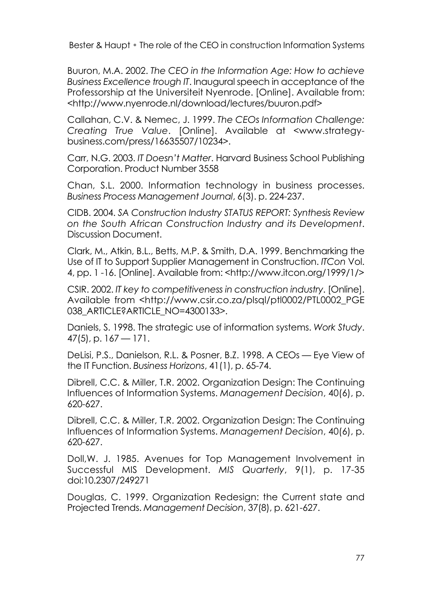Buuron, M.A. 2002. *The CEO in the Information Age: How to achieve Business Excellence trough IT*. Inaugural speech in acceptance of the Professorship at the Universiteit Nyenrode. [Online]. Available from: <http://www.nyenrode.nl/download/lectures/buuron.pdf>

Callahan, C.V. & Nemec, J. 1999. *The CEOs Information Challenge: Creating True Value*. [Online]. Available at <www.strategybusiness.com/press/16635507/10234>.

Carr, N.G. 2003. *IT Doesn't Matter*. Harvard Business School Publishing Corporation. Product Number 3558

Chan, S.L. 2000. Information technology in business processes. *Business Process Management Journal*, 6(3). p. 224-237.

CIDB. 2004. *SA Construction Industry STATUS REPORT: Synthesis Review on the South African Construction Industry and its Development*. Discussion Document.

Clark, M., Atkin, B.L., Betts, M.P. & Smith, D.A. 1999. Benchmarking the Use of IT to Support Supplier Management in Construction. *ITCon* Vol. 4, pp. 1 -16. [Online]. Available from: <http://www.itcon.org/1999/1/>

CSIR. 2002. *IT key to competitiveness in construction industry*. [Online]. Available from <http://www.csir.co.za/plsql/ptl0002/PTL0002\_PGE 038\_ARTICLE?ARTICLE\_NO=4300133>.

Daniels, S. 1998. The strategic use of information systems. *Work Study*.  $47(5)$ , p.  $167 - 171$ .

DeLisi, P.S., Danielson, R.L. & Posner, B.Z. 1998. A CEOs — Eye View of the IT Function. *Business Horizons*, 41(1), p. 65-74.

Dibrell, C.C. & Miller, T.R. 2002. Organization Design: The Continuing Influences of Information Systems. *Management Decision*, 40(6), p. 620-627.

Dibrell, C.C. & Miller, T.R. 2002. Organization Design: The Continuing Influences of Information Systems. *Management Decision*, 40(6), p. 620-627.

Doll,W. J. 1985. Avenues for Top Management Involvement in Successful MIS Development. *MIS Quarterly*, 9(1), p. 17-35 doi:10.2307/249271

Douglas, C. 1999. Organization Redesign: the Current state and Projected Trends. *Management Decision*, 37(8), p. 621-627.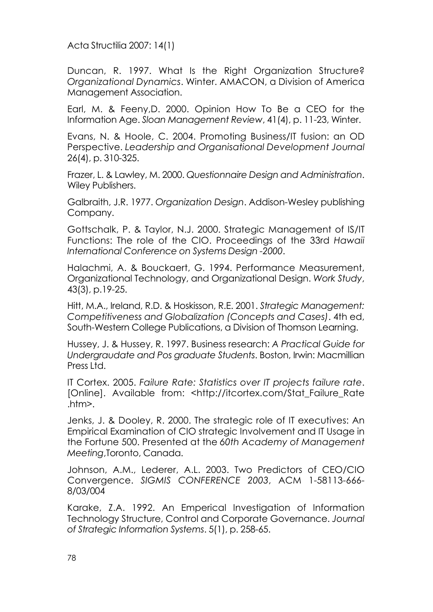Duncan, R. 1997. What Is the Right Organization Structure? *Organizational Dynamics*. Winter. AMACON, a Division of America Management Association.

Earl, M. & Feeny,D. 2000. Opinion How To Be a CEO for the Information Age. *Sloan Management Review*, 41(4), p. 11-23, Winter.

Evans, N. & Hoole, C. 2004. Promoting Business/IT fusion: an OD Perspective. *Leadership and Organisational Development Journal* 26(4), p. 310-325.

Frazer, L. & Lawley, M. 2000. *Questionnaire Design and Administration*. Wiley Publishers.

Galbraith, J.R. 1977. *Organization Design*. Addison-Wesley publishing Company.

Gottschalk, P. & Taylor, N.J. 2000. Strategic Management of IS/IT Functions: The role of the CIO. Proceedings of the 33rd *Hawaii International Conference on Systems Design -2000*.

Halachmi, A. & Bouckaert, G. 1994. Performance Measurement, Organizational Technology, and Organizational Design. *Work Study*, 43(3), p.19-25.

Hitt, M.A., Ireland, R.D. & Hoskisson, R.E. 2001. *Strategic Management: Competitiveness and Globalization (Concepts and Cases)*. 4th ed, South-Western College Publications, a Division of Thomson Learning.

Hussey, J. & Hussey, R. 1997. Business research: *A Practical Guide for Undergraudate and Pos graduate Students*. Boston, Irwin: Macmillian Press Ltd.

IT Cortex. 2005. *Failure Rate: Statistics over IT projects failure rate*. [Online]. Available from: <http://itcortex.com/Stat\_Failure\_Rate .htm>.

Jenks, J. & Dooley, R. 2000. The strategic role of IT executives: An Empirical Examination of CIO strategic Involvement and IT Usage in the Fortune 500. Presented at the *60th Academy of Management Meeting*,Toronto, Canada.

Johnson, A.M., Lederer, A.L. 2003. Two Predictors of CEO/CIO Convergence. *SIGMIS CONFERENCE 2003*, ACM 1-58113-666- 8/03/004

Karake, Z.A. 1992. An Emperical Investigation of Information Technology Structure, Control and Corporate Governance. *Journal of Strategic Information Systems*. 5(1), p. 258-65.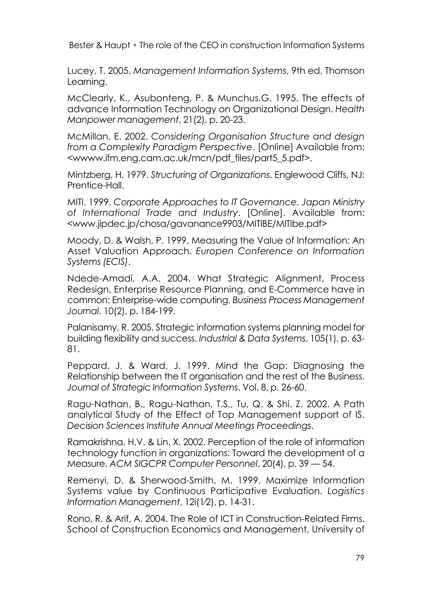Lucey, T. 2005. *Management Information Systems*, 9th ed, Thomson Learning.

McClearly, K., Asubonteng, P. & Munchus,G. 1995. The effects of advance Information Technology on Organizational Design. *Health Manpower management*, 21(2), p. 20-23.

McMillan, E. 2002. *Considering Organisation Structure and design from a Complexity Paradigm Perspective*. [Online] Available from: <wwww.ifm.eng.cam.ac.uk/mcn/pdf\_files/part5\_5.pdf>.

Mintzberg, H. 1979. *Structuring of Organizations*. Englewood Cliffs, NJ: Prentice-Hall.

MITI. 1999. *Corporate Approaches to IT Governance. Japan Ministry of International Trade and Industry*. [Online]. Available from: <www.jipdec.jp/chosa/gavanance9903/MITIBE/MITIbe.pdf>

Moody, D. & Walsh, P. 1999. Measuring the Value of Information: An Asset Valuation Approach. *Europen Conference on Information Systems (ECIS)*.

Ndede-Amadi, A.A. 2004. What Strategic Alignment, Process Redesign, Enterprise Resource Planning, and E-Commerce have in common: Enterprise-wide computing. *Business Process Management Journal*. 10(2), p. 184-199.

Palanisamy, R. 2005. Strategic information systems planning model for building flexibility and success. *Industrial & Data Systems*, 105(1), p. 63- 81.

Peppard, J. & Ward, J. 1999. Mind the Gap: Diagnosing the Relationship between the IT organisation and the rest of the Business. *Journal of Strategic Information Systems*. Vol. 8, p. 26-60.

Ragu-Nathan, B., Ragu-Nathan, T.S., Tu, Q. & Shi. Z. 2002. A Path analytical Study of the Effect of Top Management support of IS. *Decision Sciences Institute Annual Meetings Proceedings*.

Ramakrishna, H.V. & Lin. X. 2002. Perception of the role of information technology function in organizations: Toward the development of a Measure. *ACM SIGCPR Computer Personnel*, 20(4), p. 39 — 54.

Remenyi, D. & Sherwood-Smith, M. 1999. Maximize Information Systems value by Continuous Participative Evaluation. *Logistics Information Management*, 12i(1⁄2), p. 14-31.

Rono, R. & Arif, A. 2004. The Role of ICT in Construction-Related Firms. School of Construction Economics and Management, University of